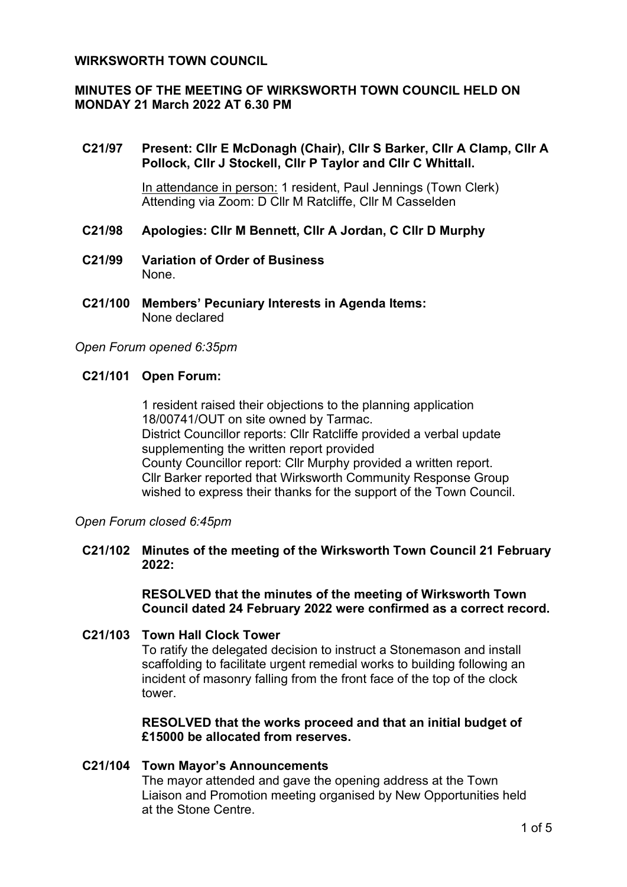## **WIRKSWORTH TOWN COUNCIL**

# **MINUTES OF THE MEETING OF WIRKSWORTH TOWN COUNCIL HELD ON MONDAY 21 March 2022 AT 6.30 PM**

## **C21/97 Present: Cllr E McDonagh (Chair), Cllr S Barker, Cllr A Clamp, Cllr A Pollock, Cllr J Stockell, Cllr P Taylor and Cllr C Whittall.**

In attendance in person: 1 resident, Paul Jennings (Town Clerk) Attending via Zoom: D Cllr M Ratcliffe, Cllr M Casselden

#### **C21/98 Apologies: Cllr M Bennett, Cllr A Jordan, C Cllr D Murphy**

- **C21/99 Variation of Order of Business** None.
- **C21/100 Members' Pecuniary Interests in Agenda Items:** None declared

#### *Open Forum opened 6:35pm*

#### **C21/101 Open Forum:**

1 resident raised their objections to the planning application 18/00741/OUT on site owned by Tarmac. District Councillor reports: Cllr Ratcliffe provided a verbal update supplementing the written report provided County Councillor report: Cllr Murphy provided a written report. Cllr Barker reported that Wirksworth Community Response Group wished to express their thanks for the support of the Town Council.

*Open Forum closed 6:45pm*

## **C21/102 Minutes of the meeting of the Wirksworth Town Council 21 February 2022:**

**RESOLVED that the minutes of the meeting of Wirksworth Town Council dated 24 February 2022 were confirmed as a correct record.**

# **C21/103 Town Hall Clock Tower**

To ratify the delegated decision to instruct a Stonemason and install scaffolding to facilitate urgent remedial works to building following an incident of masonry falling from the front face of the top of the clock tower.

**RESOLVED that the works proceed and that an initial budget of £15000 be allocated from reserves.**

## **C21/104 Town Mayor's Announcements**

The mayor attended and gave the opening address at the Town Liaison and Promotion meeting organised by New Opportunities held at the Stone Centre.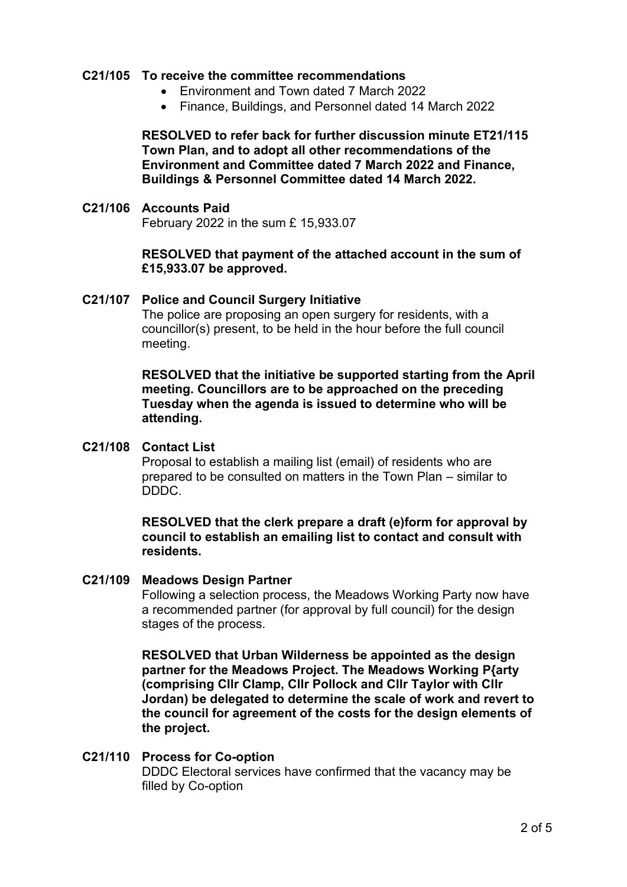## **C21/105 To receive the committee recommendations**

- Environment and Town dated 7 March 2022
- Finance, Buildings, and Personnel dated 14 March 2022

**RESOLVED to refer back for further discussion minute ET21/115 Town Plan, and to adopt all other recommendations of the Environment and Committee dated 7 March 2022 and Finance, Buildings & Personnel Committee dated 14 March 2022.**

#### **C21/106 Accounts Paid**

February 2022 in the sum £ 15,933.07

# **RESOLVED that payment of the attached account in the sum of £15,933.07 be approved.**

**C21/107 Police and Council Surgery Initiative** The police are proposing an open surgery for residents, with a councillor(s) present, to be held in the hour before the full council meeting.

> **RESOLVED that the initiative be supported starting from the April meeting. Councillors are to be approached on the preceding Tuesday when the agenda is issued to determine who will be attending.**

#### **C21/108 Contact List**

Proposal to establish a mailing list (email) of residents who are prepared to be consulted on matters in the Town Plan – similar to DDDC.

## **RESOLVED that the clerk prepare a draft (e)form for approval by council to establish an emailing list to contact and consult with residents.**

#### **C21/109 Meadows Design Partner**

Following a selection process, the Meadows Working Party now have a recommended partner (for approval by full council) for the design stages of the process.

**RESOLVED that Urban Wilderness be appointed as the design partner for the Meadows Project. The Meadows Working P{arty (comprising Cllr Clamp, Cllr Pollock and Cllr Taylor with Cllr Jordan) be delegated to determine the scale of work and revert to the council for agreement of the costs for the design elements of the project.** 

#### **C21/110 Process for Co-option**  DDDC Electoral services have confirmed that the vacancy may be filled by Co-option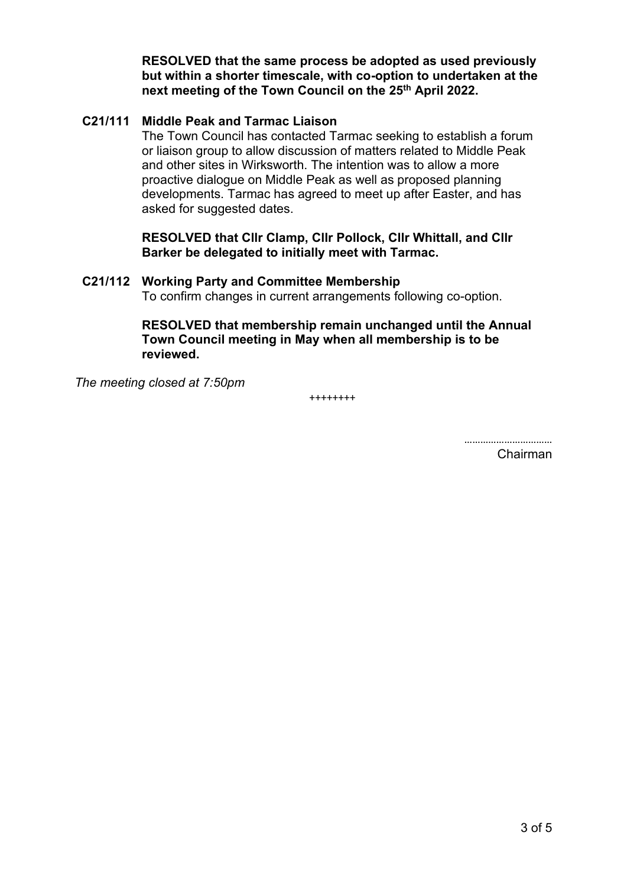**RESOLVED that the same process be adopted as used previously but within a shorter timescale, with co-option to undertaken at the next meeting of the Town Council on the 25th April 2022.**

# **C21/111 Middle Peak and Tarmac Liaison**

The Town Council has contacted Tarmac seeking to establish a forum or liaison group to allow discussion of matters related to Middle Peak and other sites in Wirksworth. The intention was to allow a more proactive dialogue on Middle Peak as well as proposed planning developments. Tarmac has agreed to meet up after Easter, and has asked for suggested dates.

**RESOLVED that Cllr Clamp, Cllr Pollock, Cllr Whittall, and Cllr Barker be delegated to initially meet with Tarmac.**

**C21/112 Working Party and Committee Membership** To confirm changes in current arrangements following co-option.

> **RESOLVED that membership remain unchanged until the Annual Town Council meeting in May when all membership is to be reviewed.**

*The meeting closed at 7:50pm*

++++++++

……………………………

Chairman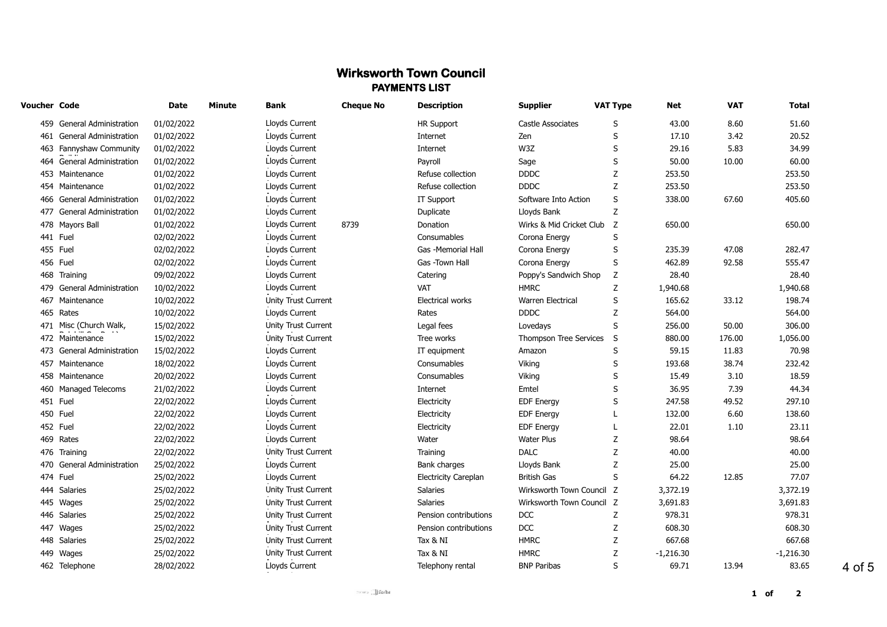# **Wirksworth Town Council PAYMENTS LIST**

| Voucher Code |                            | Date       | <b>Minute</b> | <b>Bank</b>         | <b>Cheque No</b> | <b>Description</b>          | <b>Supplier</b>           | <b>VAT Type</b> | Net         | <b>VAT</b> | Total       |
|--------------|----------------------------|------------|---------------|---------------------|------------------|-----------------------------|---------------------------|-----------------|-------------|------------|-------------|
|              | 459 General Administration | 01/02/2022 |               | Lloyds Current      |                  | HR Support                  | Castle Associates         | S               | 43.00       | 8.60       | 51.60       |
|              | 461 General Administration | 01/02/2022 |               | Lloyds Current      |                  | Internet                    | Zen                       | S               | 17.10       | 3.42       | 20.52       |
|              | 463 Fannyshaw Community    | 01/02/2022 |               | Lloyds Current      |                  | Internet                    | W3Z                       | S               | 29.16       | 5.83       | 34.99       |
|              | 464 General Administration | 01/02/2022 |               | Lloyds Current      |                  | Payroll                     | Sage                      | S               | 50.00       | 10.00      | 60.00       |
|              | 453 Maintenance            | 01/02/2022 |               | Lloyds Current      |                  | Refuse collection           | <b>DDDC</b>               | Z               | 253.50      |            | 253.50      |
|              | 454 Maintenance            | 01/02/2022 |               | Lloyds Current      |                  | Refuse collection           | <b>DDDC</b>               | Z               | 253.50      |            | 253.50      |
|              | 466 General Administration | 01/02/2022 |               | Lloyds Current      |                  | IT Support                  | Software Into Action      | S               | 338.00      | 67.60      | 405.60      |
|              | 477 General Administration | 01/02/2022 |               | Lloyds Current      |                  | Duplicate                   | Lloyds Bank               | Z               |             |            |             |
|              | 478 Mayors Ball            | 01/02/2022 |               | Lloyds Current      | 8739             | Donation                    | Wirks & Mid Cricket Club  | Z               | 650.00      |            | 650.00      |
|              | 441 Fuel                   | 02/02/2022 |               | Lloyds Current      |                  | Consumables                 | Corona Energy             | S               |             |            |             |
|              | 455 Fuel                   | 02/02/2022 |               | Lloyds Current      |                  | Gas -Memorial Hall          | Corona Energy             | S               | 235.39      | 47.08      | 282.47      |
|              | 456 Fuel                   | 02/02/2022 |               | Lloyds Current      |                  | Gas -Town Hall              | Corona Energy             | S               | 462.89      | 92.58      | 555.47      |
|              | 468 Training               | 09/02/2022 |               | Lloyds Current      |                  | Catering                    | Poppy's Sandwich Shop     | z               | 28.40       |            | 28.40       |
|              | 479 General Administration | 10/02/2022 |               | Lloyds Current      |                  | <b>VAT</b>                  | <b>HMRC</b>               | Z               | 1,940.68    |            | 1,940.68    |
|              | 467 Maintenance            | 10/02/2022 |               | Unity Trust Current |                  | Electrical works            | Warren Electrical         | S               | 165.62      | 33.12      | 198.74      |
|              | 465 Rates                  | 10/02/2022 |               | Lloyds Current      |                  | Rates                       | <b>DDDC</b>               | Z               | 564.00      |            | 564.00      |
|              | 471 Misc (Church Walk,     | 15/02/2022 |               | Unity Trust Current |                  | Legal fees                  | Lovedays                  | S               | 256.00      | 50.00      | 306.00      |
|              | 472 Maintenance            | 15/02/2022 |               | Unity Trust Current |                  | Tree works                  | Thompson Tree Services    | S               | 880.00      | 176.00     | 1,056.00    |
|              | 473 General Administration | 15/02/2022 |               | Lloyds Current      |                  | IT equipment                | Amazon                    | S               | 59.15       | 11.83      | 70.98       |
|              | 457 Maintenance            | 18/02/2022 |               | Lloyds Current      |                  | Consumables                 | Viking                    | S               | 193.68      | 38.74      | 232.42      |
|              | 458 Maintenance            | 20/02/2022 |               | Lloyds Current      |                  | Consumables                 | Viking                    | S               | 15.49       | 3.10       | 18.59       |
|              | 460 Managed Telecoms       | 21/02/2022 |               | Lloyds Current      |                  | Internet                    | Emtel                     | S               | 36.95       | 7.39       | 44.34       |
|              | 451 Fuel                   | 22/02/2022 |               | Lloyds Current      |                  | Electricity                 | <b>EDF</b> Energy         | S               | 247.58      | 49.52      | 297.10      |
|              | 450 Fuel                   | 22/02/2022 |               | Lloyds Current      |                  | Electricity                 | <b>EDF Energy</b>         | L               | 132.00      | 6.60       | 138.60      |
|              | 452 Fuel                   | 22/02/2022 |               | Lloyds Current      |                  | Electricity                 | <b>EDF Energy</b>         | L               | 22.01       | 1.10       | 23.11       |
|              | 469 Rates                  | 22/02/2022 |               | Lloyds Current      |                  | Water                       | <b>Water Plus</b>         | Z               | 98.64       |            | 98.64       |
|              | 476 Training               | 22/02/2022 |               | Unity Trust Current |                  | Training                    | <b>DALC</b>               | Z               | 40.00       |            | 40.00       |
|              | 470 General Administration | 25/02/2022 |               | Lloyds Current      |                  | Bank charges                | Lloyds Bank               | Z               | 25.00       |            | 25.00       |
|              | 474 Fuel                   | 25/02/2022 |               | Lloyds Current      |                  | <b>Electricity Careplan</b> | <b>British Gas</b>        | S               | 64.22       | 12.85      | 77.07       |
|              | 444 Salaries               | 25/02/2022 |               | Unity Trust Current |                  | Salaries                    | Wirksworth Town Council Z |                 | 3,372.19    |            | 3,372.19    |
|              | 445 Wages                  | 25/02/2022 |               | Unity Trust Current |                  | Salaries                    | Wirksworth Town Council Z |                 | 3,691.83    |            | 3,691.83    |
|              | 446 Salaries               | 25/02/2022 |               | Unity Trust Current |                  | Pension contributions       | <b>DCC</b>                | z               | 978.31      |            | 978.31      |
|              | 447 Wages                  | 25/02/2022 |               | Unity Trust Current |                  | Pension contributions       | <b>DCC</b>                | Z               | 608.30      |            | 608.30      |
|              | 448 Salaries               | 25/02/2022 |               | Unity Trust Current |                  | Tax & NI                    | <b>HMRC</b>               | Z               | 667.68      |            | 667.68      |
|              | 449 Wages                  | 25/02/2022 |               | Unity Trust Current |                  | Tax & NI                    | <b>HMRC</b>               | z               | $-1,216.30$ |            | $-1,216.30$ |
|              | 462 Telephone              | 28/02/2022 |               | Lloyds Current      |                  | Telephony rental            | <b>BNP Paribas</b>        | S               | 69.71       | 13.94      | 83.65       |
|              |                            |            |               |                     |                  |                             |                           |                 |             |            |             |

4 of 5